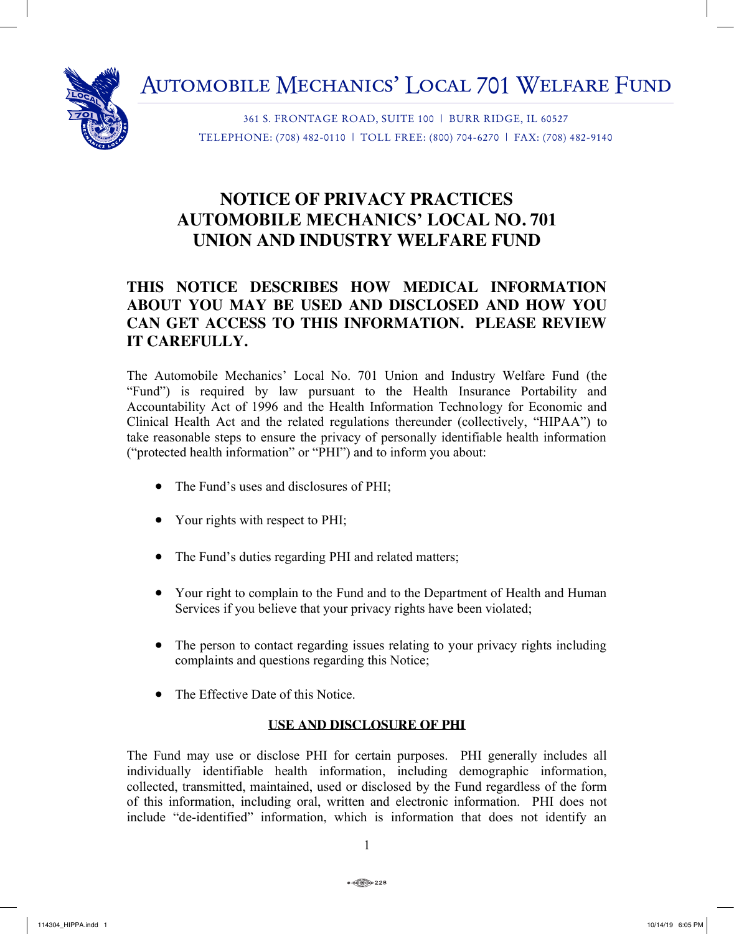Automobile Mechanics' Local 701 Welfare Fund



361 S. FRONTAGE ROAD, SUITE 100 | BURR RIDGE, IL 60527 TELEPHONE: (708) 482-0110 | TOLL FREE: (800) 704-6270 | FAX: (708) 482-9140

# **NOTICE OF PRIVACY PRACTICES AUTOMOBILE MECHANICS' LOCAL NO. 701 UNION AND INDUSTRY WELFARE FUND**

## **THIS NOTICE DESCRIBES HOW MEDICAL INFORMATION ABOUT YOU MAY BE USED AND DISCLOSED AND HOW YOU CAN GET ACCESS TO THIS INFORMATION. PLEASE REVIEW IT CAREFULLY.**

The Automobile Mechanics' Local No. 701 Union and Industry Welfare Fund (the "Fund") is required by law pursuant to the Health Insurance Portability and Accountability Act of 1996 and the Health Information Technology for Economic and Clinical Health Act and the related regulations thereunder (collectively, "HIPAA") to take reasonable steps to ensure the privacy of personally identifiable health information ("protected health information" or "PHI") and to inform you about:

- The Fund's uses and disclosures of PHI;
- Your rights with respect to PHI;
- The Fund's duties regarding PHI and related matters;
- Your right to complain to the Fund and to the Department of Health and Human Services if you believe that your privacy rights have been violated;
- The person to contact regarding issues relating to your privacy rights including complaints and questions regarding this Notice;
- The Effective Date of this Notice.

## **USE AND DISCLOSURE OF PHI**

The Fund may use or disclose PHI for certain purposes. PHI generally includes all individually identifiable health information, including demographic information, collected, transmitted, maintained, used or disclosed by the Fund regardless of the form of this information, including oral, written and electronic information. PHI does not include "de-identified" information, which is information that does not identify an

1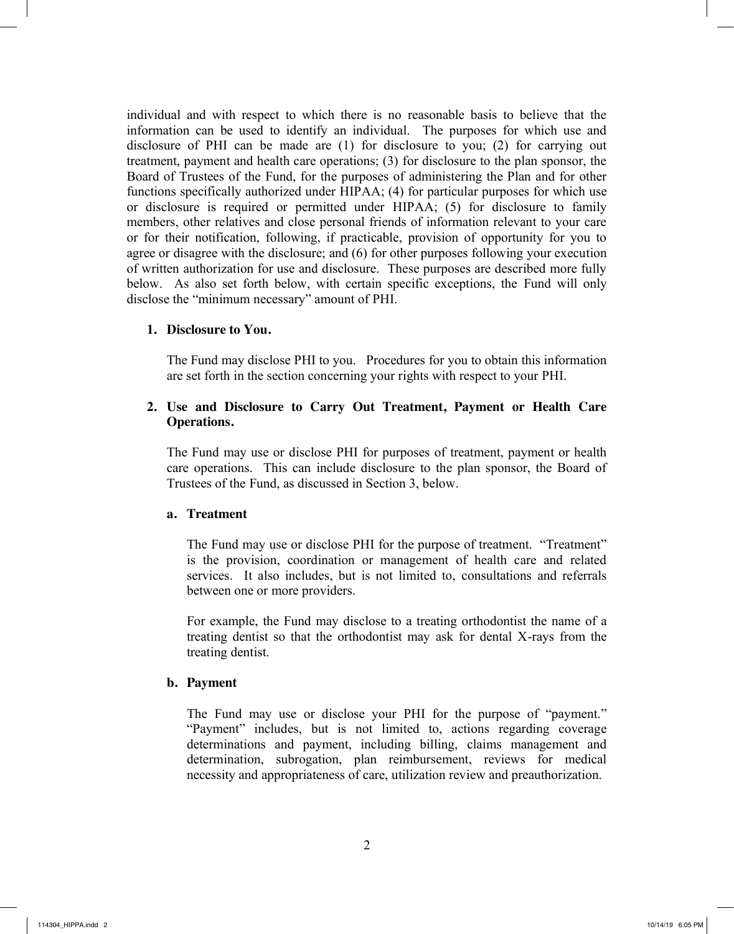individual and with respect to which there is no reasonable basis to believe that the information can be used to identify an individual. The purposes for which use and disclosure of PHI can be made are (1) for disclosure to you; (2) for carrying out treatment, payment and health care operations; (3) for disclosure to the plan sponsor, the Board of Trustees of the Fund, for the purposes of administering the Plan and for other functions specifically authorized under HIPAA; (4) for particular purposes for which use or disclosure is required or permitted under HIPAA; (5) for disclosure to family members, other relatives and close personal friends of information relevant to your care or for their notification, following, if practicable, provision of opportunity for you to agree or disagree with the disclosure; and (6) for other purposes following your execution of written authorization for use and disclosure. These purposes are described more fully below. As also set forth below, with certain specific exceptions, the Fund will only disclose the "minimum necessary" amount of PHI.

#### **1. Disclosure to You.**

The Fund may disclose PHI to you. Procedures for you to obtain this information are set forth in the section concerning your rights with respect to your PHI.

#### **2. Use and Disclosure to Carry Out Treatment, Payment or Health Care Operations.**

The Fund may use or disclose PHI for purposes of treatment, payment or health care operations. This can include disclosure to the plan sponsor, the Board of Trustees of the Fund, as discussed in Section 3, below.

#### **a. Treatment**

The Fund may use or disclose PHI for the purpose of treatment. "Treatment" is the provision, coordination or management of health care and related services. It also includes, but is not limited to, consultations and referrals between one or more providers.

For example, the Fund may disclose to a treating orthodontist the name of a treating dentist so that the orthodontist may ask for dental X-rays from the treating dentist.

#### **b. Payment**

The Fund may use or disclose your PHI for the purpose of "payment." "Payment" includes, but is not limited to, actions regarding coverage determinations and payment, including billing, claims management and determination, subrogation, plan reimbursement, reviews for medical necessity and appropriateness of care, utilization review and preauthorization.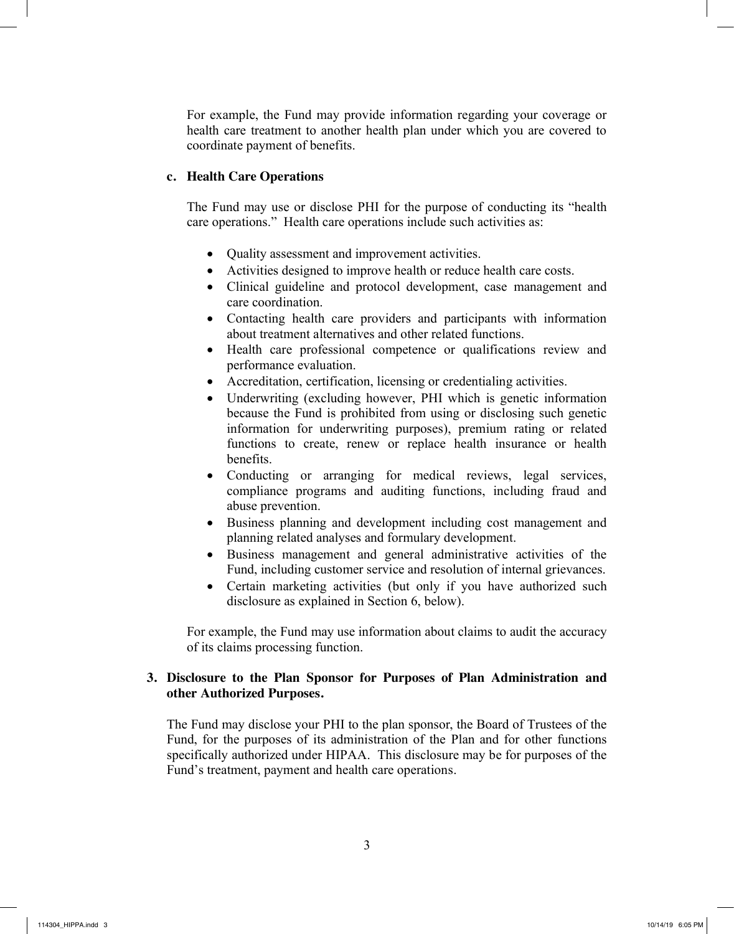For example, the Fund may provide information regarding your coverage or health care treatment to another health plan under which you are covered to coordinate payment of benefits.

#### **c. Health Care Operations**

The Fund may use or disclose PHI for the purpose of conducting its "health care operations." Health care operations include such activities as:

- Quality assessment and improvement activities.
- Activities designed to improve health or reduce health care costs.
- Clinical guideline and protocol development, case management and care coordination.
- Contacting health care providers and participants with information about treatment alternatives and other related functions.
- Health care professional competence or qualifications review and performance evaluation.
- Accreditation, certification, licensing or credentialing activities.
- Underwriting (excluding however, PHI which is genetic information because the Fund is prohibited from using or disclosing such genetic information for underwriting purposes), premium rating or related functions to create, renew or replace health insurance or health benefits.
- Conducting or arranging for medical reviews, legal services, compliance programs and auditing functions, including fraud and abuse prevention.
- Business planning and development including cost management and planning related analyses and formulary development.
- Business management and general administrative activities of the Fund, including customer service and resolution of internal grievances.
- Certain marketing activities (but only if you have authorized such disclosure as explained in Section 6, below).

For example, the Fund may use information about claims to audit the accuracy of its claims processing function.

## **3. Disclosure to the Plan Sponsor for Purposes of Plan Administration and other Authorized Purposes.**

The Fund may disclose your PHI to the plan sponsor, the Board of Trustees of the Fund, for the purposes of its administration of the Plan and for other functions specifically authorized under HIPAA. This disclosure may be for purposes of the Fund's treatment, payment and health care operations.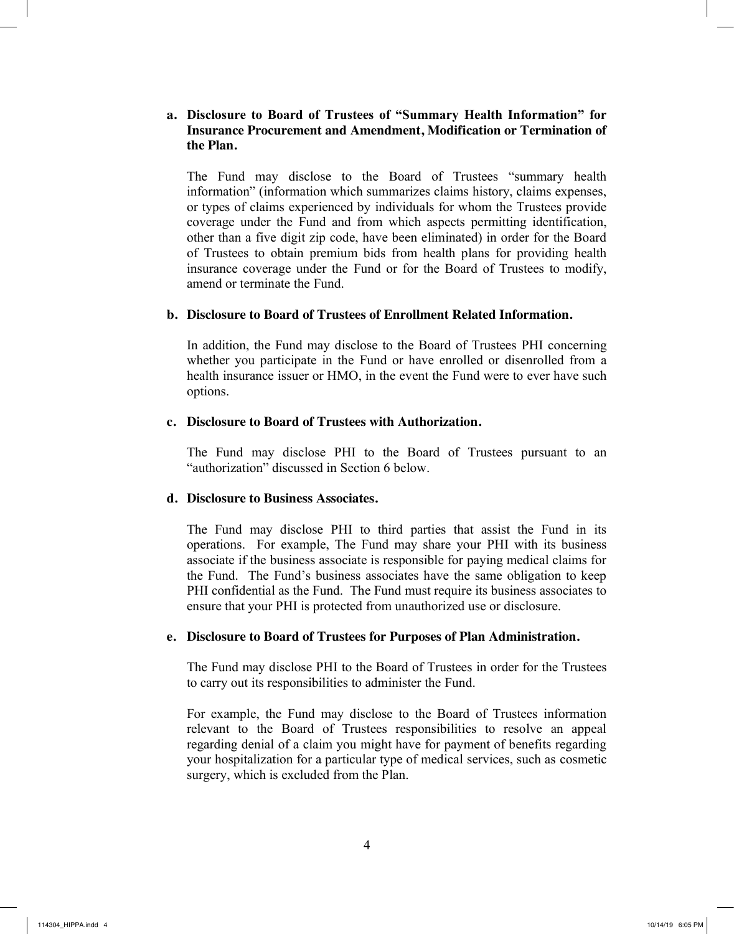### **a. Disclosure to Board of Trustees of "Summary Health Information" for Insurance Procurement and Amendment, Modification or Termination of the Plan.**

The Fund may disclose to the Board of Trustees "summary health information" (information which summarizes claims history, claims expenses, or types of claims experienced by individuals for whom the Trustees provide coverage under the Fund and from which aspects permitting identification, other than a five digit zip code, have been eliminated) in order for the Board of Trustees to obtain premium bids from health plans for providing health insurance coverage under the Fund or for the Board of Trustees to modify, amend or terminate the Fund.

#### **b. Disclosure to Board of Trustees of Enrollment Related Information.**

In addition, the Fund may disclose to the Board of Trustees PHI concerning whether you participate in the Fund or have enrolled or disenrolled from a health insurance issuer or HMO, in the event the Fund were to ever have such options.

#### **c. Disclosure to Board of Trustees with Authorization.**

The Fund may disclose PHI to the Board of Trustees pursuant to an "authorization" discussed in Section 6 below.

#### **d. Disclosure to Business Associates.**

The Fund may disclose PHI to third parties that assist the Fund in its operations. For example, The Fund may share your PHI with its business associate if the business associate is responsible for paying medical claims for the Fund. The Fund's business associates have the same obligation to keep PHI confidential as the Fund. The Fund must require its business associates to ensure that your PHI is protected from unauthorized use or disclosure.

#### **e. Disclosure to Board of Trustees for Purposes of Plan Administration.**

The Fund may disclose PHI to the Board of Trustees in order for the Trustees to carry out its responsibilities to administer the Fund.

For example, the Fund may disclose to the Board of Trustees information relevant to the Board of Trustees responsibilities to resolve an appeal regarding denial of a claim you might have for payment of benefits regarding your hospitalization for a particular type of medical services, such as cosmetic surgery, which is excluded from the Plan.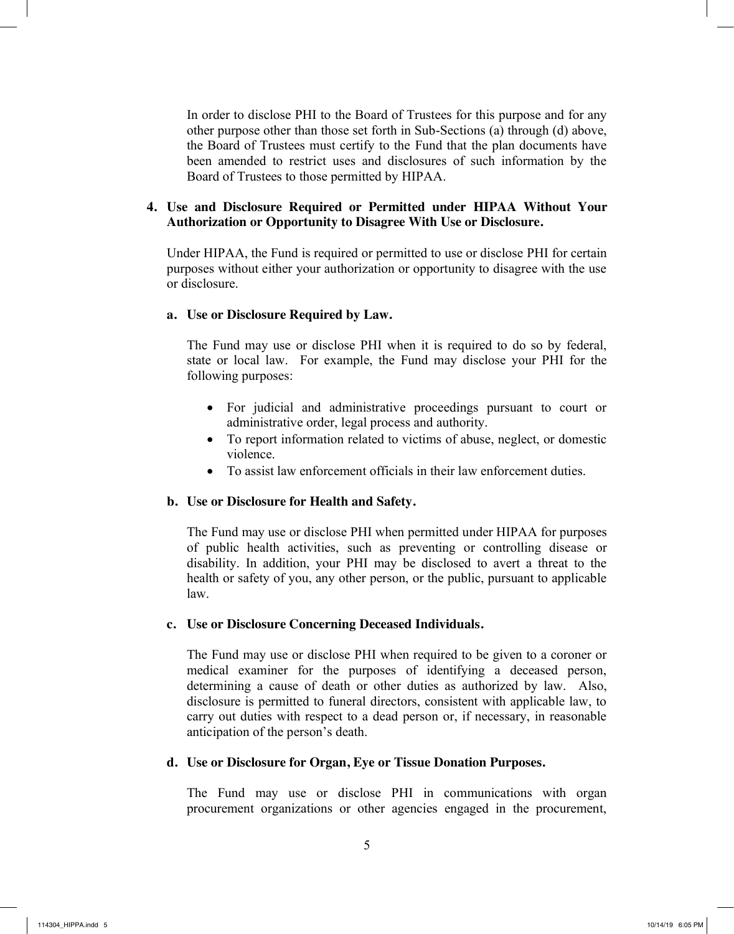In order to disclose PHI to the Board of Trustees for this purpose and for any other purpose other than those set forth in Sub-Sections (a) through (d) above, the Board of Trustees must certify to the Fund that the plan documents have been amended to restrict uses and disclosures of such information by the Board of Trustees to those permitted by HIPAA.

#### **4. Use and Disclosure Required or Permitted under HIPAA Without Your Authorization or Opportunity to Disagree With Use or Disclosure.**

Under HIPAA, the Fund is required or permitted to use or disclose PHI for certain purposes without either your authorization or opportunity to disagree with the use or disclosure.

#### **a. Use or Disclosure Required by Law.**

The Fund may use or disclose PHI when it is required to do so by federal, state or local law. For example, the Fund may disclose your PHI for the following purposes:

- For judicial and administrative proceedings pursuant to court or administrative order, legal process and authority.
- To report information related to victims of abuse, neglect, or domestic violence.
- To assist law enforcement officials in their law enforcement duties.

#### **b. Use or Disclosure for Health and Safety.**

The Fund may use or disclose PHI when permitted under HIPAA for purposes of public health activities, such as preventing or controlling disease or disability. In addition, your PHI may be disclosed to avert a threat to the health or safety of you, any other person, or the public, pursuant to applicable law.

#### **c. Use or Disclosure Concerning Deceased Individuals.**

The Fund may use or disclose PHI when required to be given to a coroner or medical examiner for the purposes of identifying a deceased person, determining a cause of death or other duties as authorized by law. Also, disclosure is permitted to funeral directors, consistent with applicable law, to carry out duties with respect to a dead person or, if necessary, in reasonable anticipation of the person's death.

#### **d. Use or Disclosure for Organ, Eye or Tissue Donation Purposes.**

The Fund may use or disclose PHI in communications with organ procurement organizations or other agencies engaged in the procurement,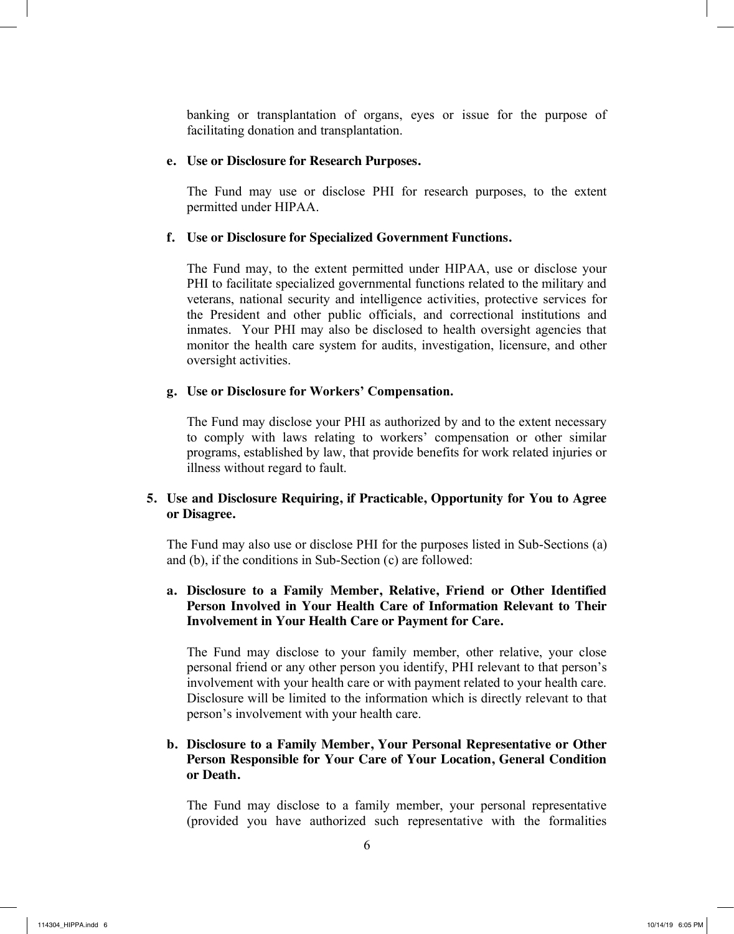banking or transplantation of organs, eyes or issue for the purpose of facilitating donation and transplantation.

#### **e. Use or Disclosure for Research Purposes.**

The Fund may use or disclose PHI for research purposes, to the extent permitted under HIPAA.

#### **f. Use or Disclosure for Specialized Government Functions.**

The Fund may, to the extent permitted under HIPAA, use or disclose your PHI to facilitate specialized governmental functions related to the military and veterans, national security and intelligence activities, protective services for the President and other public officials, and correctional institutions and inmates. Your PHI may also be disclosed to health oversight agencies that monitor the health care system for audits, investigation, licensure, and other oversight activities.

#### **g. Use or Disclosure for Workers' Compensation.**

The Fund may disclose your PHI as authorized by and to the extent necessary to comply with laws relating to workers' compensation or other similar programs, established by law, that provide benefits for work related injuries or illness without regard to fault.

## **5. Use and Disclosure Requiring, if Practicable, Opportunity for You to Agree or Disagree.**

The Fund may also use or disclose PHI for the purposes listed in Sub-Sections (a) and (b), if the conditions in Sub-Section (c) are followed:

### **a. Disclosure to a Family Member, Relative, Friend or Other Identified Person Involved in Your Health Care of Information Relevant to Their Involvement in Your Health Care or Payment for Care.**

The Fund may disclose to your family member, other relative, your close personal friend or any other person you identify, PHI relevant to that person's involvement with your health care or with payment related to your health care. Disclosure will be limited to the information which is directly relevant to that person's involvement with your health care.

## **b. Disclosure to a Family Member, Your Personal Representative or Other Person Responsible for Your Care of Your Location, General Condition or Death.**

The Fund may disclose to a family member, your personal representative (provided you have authorized such representative with the formalities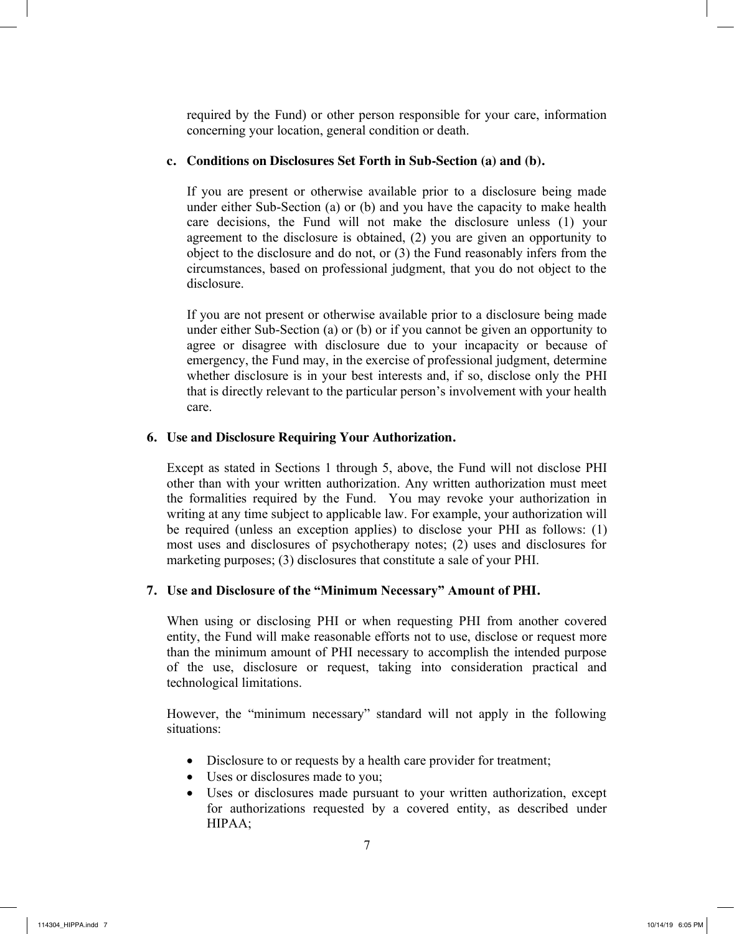required by the Fund) or other person responsible for your care, information concerning your location, general condition or death.

## **c. Conditions on Disclosures Set Forth in Sub-Section (a) and (b).**

If you are present or otherwise available prior to a disclosure being made under either Sub-Section (a) or (b) and you have the capacity to make health care decisions, the Fund will not make the disclosure unless (1) your agreement to the disclosure is obtained, (2) you are given an opportunity to object to the disclosure and do not, or (3) the Fund reasonably infers from the circumstances, based on professional judgment, that you do not object to the disclosure.

If you are not present or otherwise available prior to a disclosure being made under either Sub-Section (a) or (b) or if you cannot be given an opportunity to agree or disagree with disclosure due to your incapacity or because of emergency, the Fund may, in the exercise of professional judgment, determine whether disclosure is in your best interests and, if so, disclose only the PHI that is directly relevant to the particular person's involvement with your health care.

## **6. Use and Disclosure Requiring Your Authorization.**

Except as stated in Sections 1 through 5, above, the Fund will not disclose PHI other than with your written authorization. Any written authorization must meet the formalities required by the Fund. You may revoke your authorization in writing at any time subject to applicable law. For example, your authorization will be required (unless an exception applies) to disclose your PHI as follows: (1) most uses and disclosures of psychotherapy notes; (2) uses and disclosures for marketing purposes; (3) disclosures that constitute a sale of your PHI.

## **7. Use and Disclosure of the "Minimum Necessary" Amount of PHI.**

When using or disclosing PHI or when requesting PHI from another covered entity, the Fund will make reasonable efforts not to use, disclose or request more than the minimum amount of PHI necessary to accomplish the intended purpose of the use, disclosure or request, taking into consideration practical and technological limitations.

However, the "minimum necessary" standard will not apply in the following situations:

- Disclosure to or requests by a health care provider for treatment;
- Uses or disclosures made to you;
- Uses or disclosures made pursuant to your written authorization, except for authorizations requested by a covered entity, as described under HIPAA;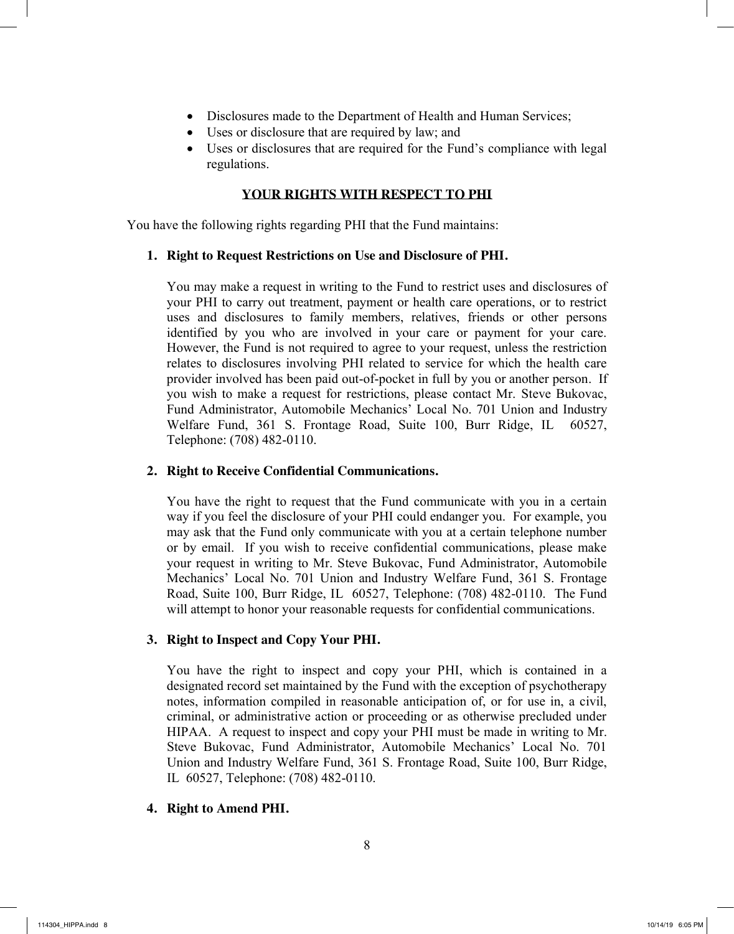- Disclosures made to the Department of Health and Human Services;
- Uses or disclosure that are required by law; and
- Uses or disclosures that are required for the Fund's compliance with legal regulations.

## **YOUR RIGHTS WITH RESPECT TO PHI**

You have the following rights regarding PHI that the Fund maintains:

#### **1. Right to Request Restrictions on Use and Disclosure of PHI.**

You may make a request in writing to the Fund to restrict uses and disclosures of your PHI to carry out treatment, payment or health care operations, or to restrict uses and disclosures to family members, relatives, friends or other persons identified by you who are involved in your care or payment for your care. However, the Fund is not required to agree to your request, unless the restriction relates to disclosures involving PHI related to service for which the health care provider involved has been paid out-of-pocket in full by you or another person. If you wish to make a request for restrictions, please contact Mr. Steve Bukovac, Fund Administrator, Automobile Mechanics' Local No. 701 Union and Industry Welfare Fund, 361 S. Frontage Road, Suite 100, Burr Ridge, IL 60527, Telephone: (708) 482-0110.

#### **2. Right to Receive Confidential Communications.**

You have the right to request that the Fund communicate with you in a certain way if you feel the disclosure of your PHI could endanger you. For example, you may ask that the Fund only communicate with you at a certain telephone number or by email. If you wish to receive confidential communications, please make your request in writing to Mr. Steve Bukovac, Fund Administrator, Automobile Mechanics' Local No. 701 Union and Industry Welfare Fund, 361 S. Frontage Road, Suite 100, Burr Ridge, IL 60527, Telephone: (708) 482-0110. The Fund will attempt to honor your reasonable requests for confidential communications.

#### **3. Right to Inspect and Copy Your PHI.**

You have the right to inspect and copy your PHI, which is contained in a designated record set maintained by the Fund with the exception of psychotherapy notes, information compiled in reasonable anticipation of, or for use in, a civil, criminal, or administrative action or proceeding or as otherwise precluded under HIPAA. A request to inspect and copy your PHI must be made in writing to Mr. Steve Bukovac, Fund Administrator, Automobile Mechanics' Local No. 701 Union and Industry Welfare Fund, 361 S. Frontage Road, Suite 100, Burr Ridge, IL 60527, Telephone: (708) 482-0110.

#### **4. Right to Amend PHI.**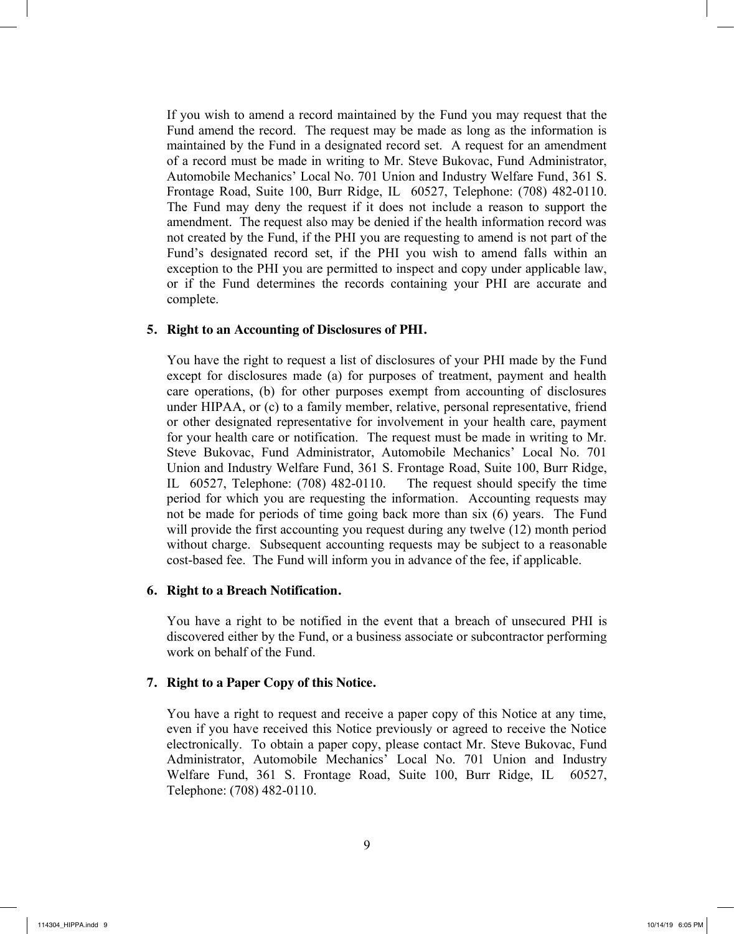If you wish to amend a record maintained by the Fund you may request that the Fund amend the record. The request may be made as long as the information is maintained by the Fund in a designated record set. A request for an amendment of a record must be made in writing to Mr. Steve Bukovac, Fund Administrator, Automobile Mechanics' Local No. 701 Union and Industry Welfare Fund, 361 S. Frontage Road, Suite 100, Burr Ridge, IL 60527, Telephone: (708) 482-0110. The Fund may deny the request if it does not include a reason to support the amendment. The request also may be denied if the health information record was not created by the Fund, if the PHI you are requesting to amend is not part of the Fund's designated record set, if the PHI you wish to amend falls within an exception to the PHI you are permitted to inspect and copy under applicable law, or if the Fund determines the records containing your PHI are accurate and complete.

#### **5. Right to an Accounting of Disclosures of PHI.**

You have the right to request a list of disclosures of your PHI made by the Fund except for disclosures made (a) for purposes of treatment, payment and health care operations, (b) for other purposes exempt from accounting of disclosures under HIPAA, or (c) to a family member, relative, personal representative, friend or other designated representative for involvement in your health care, payment for your health care or notification. The request must be made in writing to Mr. Steve Bukovac, Fund Administrator, Automobile Mechanics' Local No. 701 Union and Industry Welfare Fund, 361 S. Frontage Road, Suite 100, Burr Ridge, IL 60527, Telephone: (708) 482-0110. The request should specify the time period for which you are requesting the information. Accounting requests may not be made for periods of time going back more than six (6) years. The Fund will provide the first accounting you request during any twelve (12) month period without charge. Subsequent accounting requests may be subject to a reasonable cost-based fee. The Fund will inform you in advance of the fee, if applicable.

#### **6. Right to a Breach Notification.**

You have a right to be notified in the event that a breach of unsecured PHI is discovered either by the Fund, or a business associate or subcontractor performing work on behalf of the Fund.

#### **7. Right to a Paper Copy of this Notice.**

You have a right to request and receive a paper copy of this Notice at any time, even if you have received this Notice previously or agreed to receive the Notice electronically. To obtain a paper copy, please contact Mr. Steve Bukovac, Fund Administrator, Automobile Mechanics' Local No. 701 Union and Industry Welfare Fund, 361 S. Frontage Road, Suite 100, Burr Ridge, IL 60527, Telephone: (708) 482-0110.